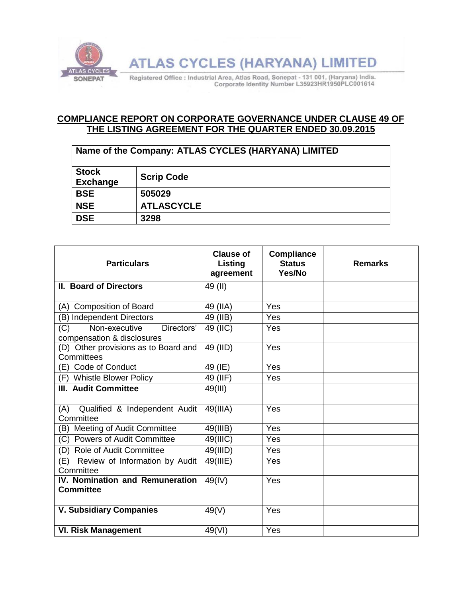

**ATLAS CYCLES (HARYANA) LIMITED** 

Registered Office : Industrial Area, Atlas Road, Sonepat - 131 001, (Haryana) India. Corporate Identity Number L35923HR1950PLC001614

## **COMPLIANCE REPORT ON CORPORATE GOVERNANCE UNDER CLAUSE 49 OF THE LISTING AGREEMENT FOR THE QUARTER ENDED 30.09.2015**

| Name of the Company: ATLAS CYCLES (HARYANA) LIMITED |                   |  |  |
|-----------------------------------------------------|-------------------|--|--|
| <b>Stock</b><br><b>Exchange</b>                     | <b>Scrip Code</b> |  |  |
| <b>BSE</b>                                          | 505029            |  |  |
| <b>NSE</b>                                          | <b>ATLASCYCLE</b> |  |  |
| <b>DSE</b>                                          | 3298              |  |  |

| <b>Particulars</b>                                               | <b>Clause of</b><br>Listing<br>agreement | <b>Compliance</b><br><b>Status</b><br>Yes/No | <b>Remarks</b> |
|------------------------------------------------------------------|------------------------------------------|----------------------------------------------|----------------|
| II. Board of Directors                                           | 49 (II)                                  |                                              |                |
| (A) Composition of Board                                         | 49 (IIA)                                 | Yes                                          |                |
| (B) Independent Directors                                        | 49 (IIB)                                 | Yes                                          |                |
| Non-executive<br>Directors'<br>(C)<br>compensation & disclosures | 49 (IIC)                                 | Yes                                          |                |
| (D) Other provisions as to Board and<br>Committees               | 49 (IID)                                 | Yes                                          |                |
| (E) Code of Conduct                                              | 49 (IE)                                  | Yes                                          |                |
| (F) Whistle Blower Policy                                        | 49 (IIF)                                 | Yes                                          |                |
| <b>III. Audit Committee</b>                                      | 49(III)                                  |                                              |                |
| Qualified & Independent Audit<br>(A)<br>Committee                | 49(IIIA)                                 | Yes                                          |                |
| (B) Meeting of Audit Committee                                   | 49(IIIB)                                 | Yes                                          |                |
| (C) Powers of Audit Committee                                    | 49(IIIC)                                 | Yes                                          |                |
| (D) Role of Audit Committee                                      | 49(IIID)                                 | Yes                                          |                |
| Review of Information by Audit<br>(E)<br>Committee               | 49(IIIE)                                 | Yes                                          |                |
| IV. Nomination and Remuneration<br><b>Committee</b>              | 49(IV)                                   | Yes                                          |                |
| <b>V. Subsidiary Companies</b>                                   | 49(V)                                    | Yes                                          |                |
| <b>VI. Risk Management</b>                                       | 49(VI)                                   | Yes                                          |                |